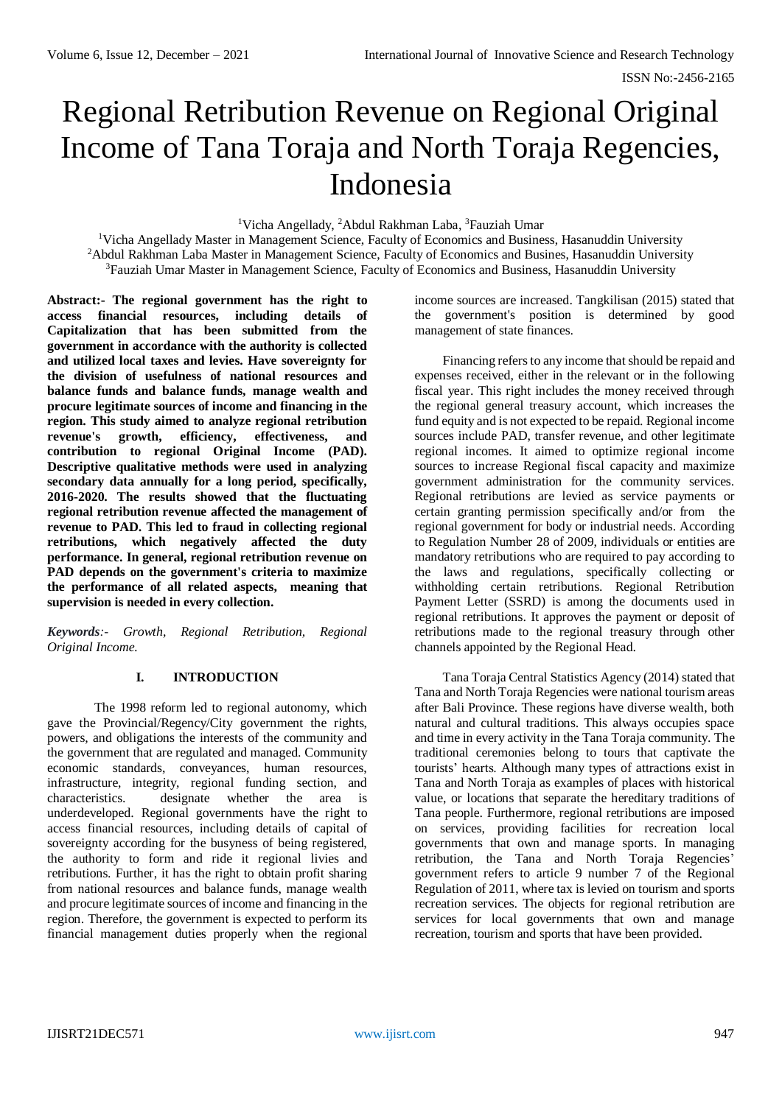# Regional Retribution Revenue on Regional Original Income of Tana Toraja and North Toraja Regencies, Indonesia

<sup>1</sup>Vicha Angellady, <sup>2</sup>Abdul Rakhman Laba, <sup>3</sup>Fauziah Umar

<sup>1</sup>Vicha Angellady Master in Management Science, Faculty of Economics and Business, Hasanuddin University <sup>2</sup>Abdul Rakhman Laba Master in Management Science, Faculty of Economics and Busines, Hasanuddin University <sup>3</sup>Fauziah Umar Master in Management Science, Faculty of Economics and Business, Hasanuddin University

**Abstract:- The regional government has the right to access financial resources, including details of Capitalization that has been submitted from the government in accordance with the authority is collected and utilized local taxes and levies. Have sovereignty for the division of usefulness of national resources and balance funds and balance funds, manage wealth and procure legitimate sources of income and financing in the region. This study aimed to analyze regional retribution revenue's growth, efficiency, effectiveness, and contribution to regional Original Income (PAD). Descriptive qualitative methods were used in analyzing secondary data annually for a long period, specifically, 2016-2020. The results showed that the fluctuating regional retribution revenue affected the management of revenue to PAD. This led to fraud in collecting regional retributions, which negatively affected the duty performance. In general, regional retribution revenue on PAD depends on the government's criteria to maximize the performance of all related aspects, meaning that supervision is needed in every collection.**

*Keywords:- Growth, Regional Retribution, Regional Original Income.*

### **I. INTRODUCTION**

The 1998 reform led to regional autonomy, which gave the Provincial/Regency/City government the rights, powers, and obligations the interests of the community and the government that are regulated and managed. Community economic standards, conveyances, human resources, infrastructure, integrity, regional funding section, and characteristics. designate whether the area is underdeveloped. Regional governments have the right to access financial resources, including details of capital of sovereignty according for the busyness of being registered, the authority to form and ride it regional livies and retributions. Further, it has the right to obtain profit sharing from national resources and balance funds, manage wealth and procure legitimate sources of income and financing in the region. Therefore, the government is expected to perform its financial management duties properly when the regional

income sources are increased. Tangkilisan (2015) stated that the government's position is determined by good management of state finances.

Financing refers to any income that should be repaid and expenses received, either in the relevant or in the following fiscal year. This right includes the money received through the regional general treasury account, which increases the fund equity and is not expected to be repaid. Regional income sources include PAD, transfer revenue, and other legitimate regional incomes. It aimed to optimize regional income sources to increase Regional fiscal capacity and maximize government administration for the community services. Regional retributions are levied as service payments or certain granting permission specifically and/or from the regional government for body or industrial needs. According to Regulation Number 28 of 2009, individuals or entities are mandatory retributions who are required to pay according to the laws and regulations, specifically collecting or withholding certain retributions. Regional Retribution Payment Letter (SSRD) is among the documents used in regional retributions. It approves the payment or deposit of retributions made to the regional treasury through other channels appointed by the Regional Head.

Tana Toraja Central Statistics Agency (2014) stated that Tana and North Toraja Regencies were national tourism areas after Bali Province. These regions have diverse wealth, both natural and cultural traditions. This always occupies space and time in every activity in the Tana Toraja community. The traditional ceremonies belong to tours that captivate the tourists' hearts. Although many types of attractions exist in Tana and North Toraja as examples of places with historical value, or locations that separate the hereditary traditions of Tana people. Furthermore, regional retributions are imposed on services, providing facilities for recreation local governments that own and manage sports. In managing retribution, the Tana and North Toraja Regencies' government refers to article 9 number 7 of the Regional Regulation of 2011, where tax is levied on tourism and sports recreation services. The objects for regional retribution are services for local governments that own and manage recreation, tourism and sports that have been provided.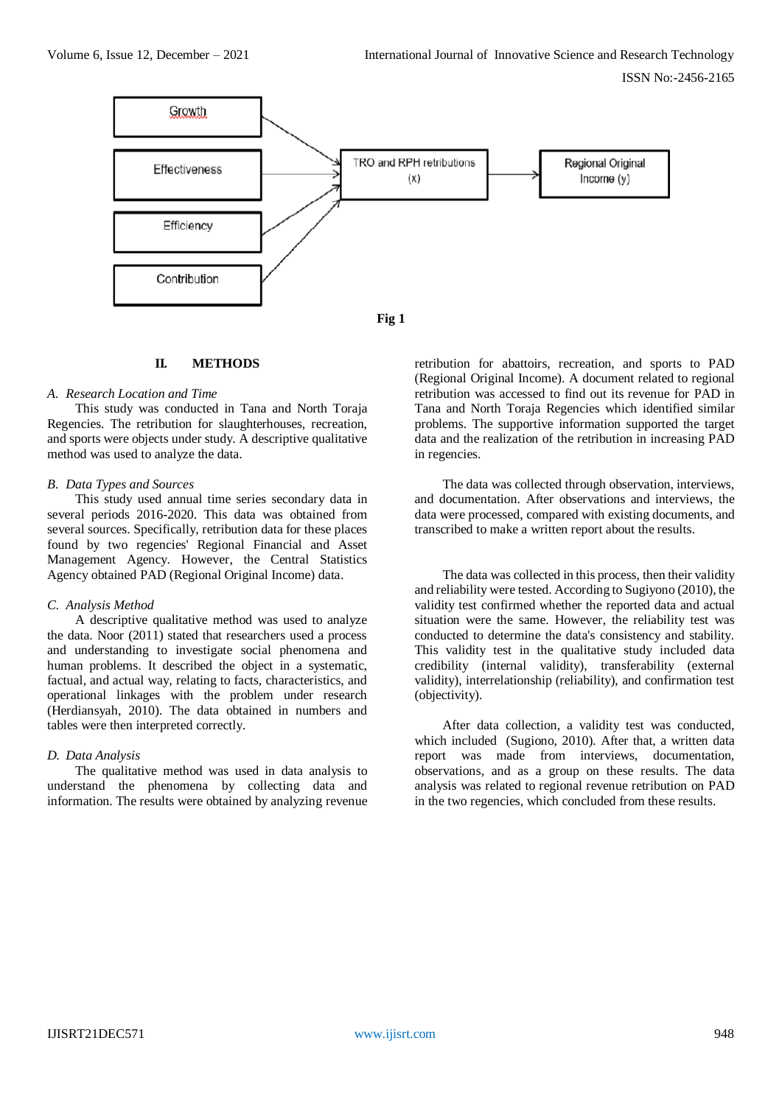



# **II. METHODS**

#### *A. Research Location and Time*

This study was conducted in Tana and North Toraja Regencies. The retribution for slaughterhouses, recreation, and sports were objects under study. A descriptive qualitative method was used to analyze the data.

#### *B. Data Types and Sources*

This study used annual time series secondary data in several periods 2016-2020. This data was obtained from several sources. Specifically, retribution data for these places found by two regencies' Regional Financial and Asset Management Agency. However, the Central Statistics Agency obtained PAD (Regional Original Income) data.

#### *C. Analysis Method*

A descriptive qualitative method was used to analyze the data. Noor (2011) stated that researchers used a process and understanding to investigate social phenomena and human problems. It described the object in a systematic, factual, and actual way, relating to facts, characteristics, and operational linkages with the problem under research (Herdiansyah, 2010). The data obtained in numbers and tables were then interpreted correctly.

### *D. Data Analysis*

The qualitative method was used in data analysis to understand the phenomena by collecting data and information. The results were obtained by analyzing revenue retribution for abattoirs, recreation, and sports to PAD (Regional Original Income). A document related to regional retribution was accessed to find out its revenue for PAD in Tana and North Toraja Regencies which identified similar problems. The supportive information supported the target data and the realization of the retribution in increasing PAD in regencies.

The data was collected through observation, interviews, and documentation. After observations and interviews, the data were processed, compared with existing documents, and transcribed to make a written report about the results.

The data was collected in this process, then their validity and reliability were tested. According to Sugiyono (2010), the validity test confirmed whether the reported data and actual situation were the same. However, the reliability test was conducted to determine the data's consistency and stability. This validity test in the qualitative study included data credibility (internal validity), transferability (external validity), interrelationship (reliability), and confirmation test (objectivity).

After data collection, a validity test was conducted, which included (Sugiono, 2010). After that, a written data report was made from interviews, documentation, observations, and as a group on these results. The data analysis was related to regional revenue retribution on PAD in the two regencies, which concluded from these results.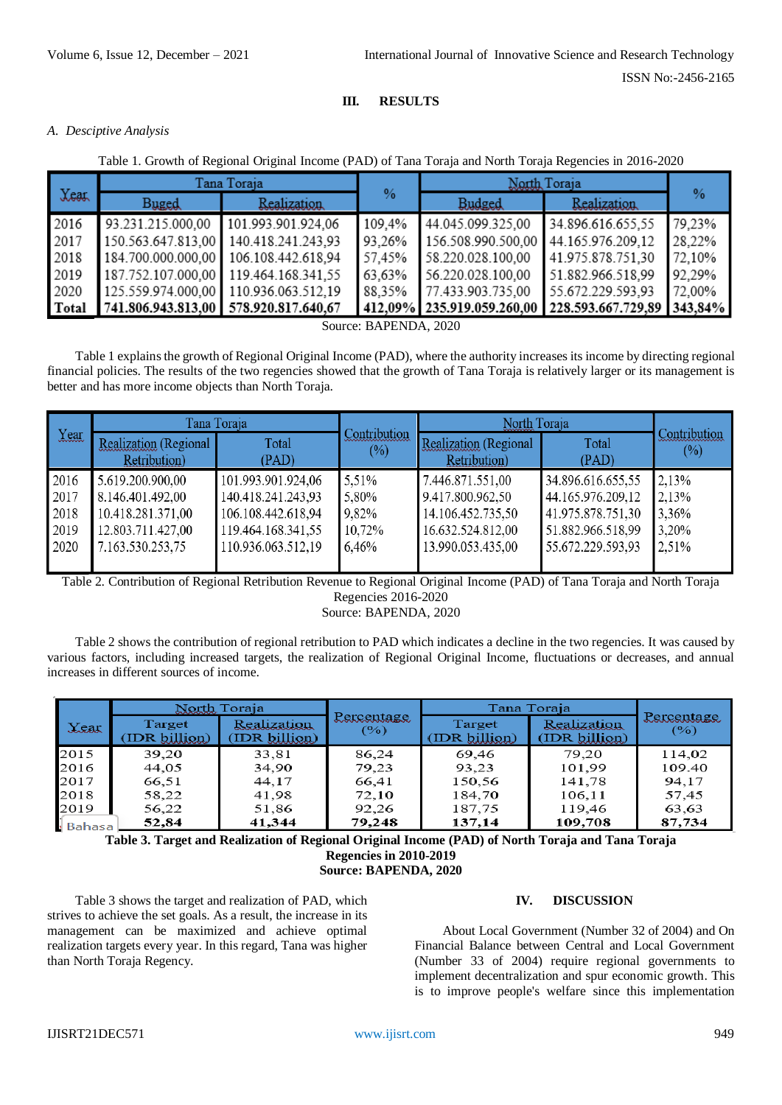# *A. Desciptive Analysis*

Table 1. Growth of Regional Original Income (PAD) of Tana Toraja and North Toraja Regencies in 2016-2020

**III. RESULTS**

| Xear         | Tana Toraja                           |                                       |        | North Toraja               |                            |        |
|--------------|---------------------------------------|---------------------------------------|--------|----------------------------|----------------------------|--------|
|              | Buged                                 | <b>Realization</b>                    | $\%$   | Budged                     | Realization                | $\%$   |
| 2016         | 93.231.215.000,00                     | 101.993.901.924,06                    | 109,4% | 44.045.099.325.00          | 34.896.616.655,55          | 79,23% |
| 2017         |                                       | 150.563.647.813,00 140.418.241.243,93 | 93,26% | 156.508.990.500,00         | 44.165.976.209.12          | 28,22% |
| 2018         | 184.700.000.000,00 106.108.442.618,94 |                                       | 57,45% | 58.220.028.100.00          | 41.975.878.751.30          | 72,10% |
| 2019         | 187.752.107.000,00 119.464.168.341.55 |                                       | 63.63% | 56.220.028.100,00          | 51.882.966.518,99          | 92,29% |
| 2020         |                                       | 125.559.974.000,00 110.936.063.512.19 | 88,35% | 77.433.903.735.00          | 55.672.229.593.93          | 72,00% |
| <b>Total</b> | 741.806.943.813,00 578.920.817.640,67 |                                       |        | 412,09% 235.919.059.260,00 | 228.593.667.729,89 343,84% |        |

Source: BAPENDA, 2020

Table 1 explains the growth of Regional Original Income (PAD), where the authority increases its income by directing regional financial policies. The results of the two regencies showed that the growth of Tana Toraja is relatively larger or its management is better and has more income objects than North Toraja.

| <b>Year</b> | Tana Toraja                           |                    |                        | North Toraja                          |                   |                        |
|-------------|---------------------------------------|--------------------|------------------------|---------------------------------------|-------------------|------------------------|
|             | Realization (Regional<br>Retribution) | Total<br>(PAD)     | Contribution<br>$(\%)$ | Realization (Regional<br>Retribution) | Total<br>(PAD)    | Contribution<br>$(\%)$ |
| 2016        | 5.619.200.900,00                      | 101.993.901.924,06 | 5.51%                  | 7.446.871.551,00                      | 34.896.616.655,55 | 2.13%                  |
| 2017        | 8.146.401.492,00                      | 140.418.241.243,93 | 5,80%                  | 9.417.800.962,50                      | 44.165.976.209,12 | 2,13%                  |
| 2018        | 10.418.281.371,00                     | 106.108.442.618,94 | 9.82%                  | 14.106.452.735,50                     | 41.975.878.751,30 | 3,36%                  |
| 2019        | 12.803.711.427,00                     | 119.464.168.341,55 | 10,72%                 | 16.632.524.812,00                     | 51.882.966.518,99 | 3,20%                  |
| 2020        | 7.163.530.253,75                      | 110.936.063.512,19 | 6,46%                  | 13.990.053.435,00                     | 55.672.229.593,93 | 2,51%                  |

Table 2. Contribution of Regional Retribution Revenue to Regional Original Income (PAD) of Tana Toraja and North Toraja Regencies 2016-2020

Source: BAPENDA, 2020

Table 2 shows the contribution of regional retribution to PAD which indicates a decline in the two regencies. It was caused by various factors, including increased targets, the realization of Regional Original Income, fluctuations or decreases, and annual increases in different sources of income.

|             | North Toraja            |                              |                   | Tana Toraja             |                                     |                   |
|-------------|-------------------------|------------------------------|-------------------|-------------------------|-------------------------------------|-------------------|
| <b>Xeat</b> | Target<br>(IDR billion) | Realization<br>(IDR billion) | Percentage<br>(%) | Target<br>(IDR billion) | <b>Realization</b><br>(IDR billion) | Percentage<br>(%) |
| 2015        | 39,20                   | 33,81                        | 86,24             | 69,46                   | 79.20                               | 114,02            |
| 2016        | 44,05                   | 34,90                        | 79,23             | 93,23                   | 101.99                              | 109.40            |
| 2017        | 66,51                   | 44,17                        | 66,41             | 150,56                  | 141,78                              | 94,17             |
| 2018        | 58,22                   | 41,98                        | 72,10             | 184,70                  | 106,11                              | 57,45             |
| 2019        | 56,22                   | 51,86                        | 92,26             | 187,75                  | 119,46                              | 63,63             |
| · Bahasa    | 52.84                   | 41,344                       | 79,248            | 137,14                  | 109,708                             | 87,734            |

**Table 3. Target and Realization of Regional Original Income (PAD) of North Toraja and Tana Toraja Regencies in 2010-2019 Source: BAPENDA, 2020**

Table 3 shows the target and realization of PAD, which strives to achieve the set goals. As a result, the increase in its management can be maximized and achieve optimal realization targets every year. In this regard, Tana was higher than North Toraja Regency.

# **IV. DISCUSSION**

About Local Government (Number 32 of 2004) and On Financial Balance between Central and Local Government (Number 33 of 2004) require regional governments to implement decentralization and spur economic growth. This is to improve people's welfare since this implementation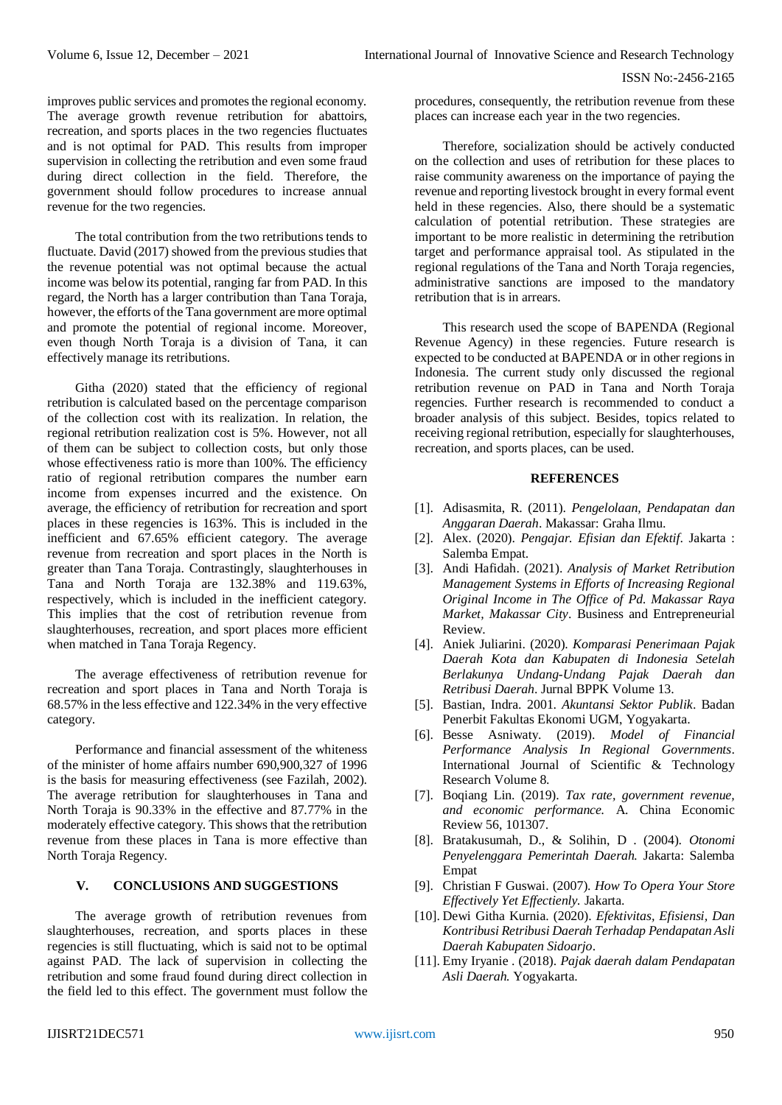improves public services and promotes the regional economy. The average growth revenue retribution for abattoirs, recreation, and sports places in the two regencies fluctuates and is not optimal for PAD. This results from improper supervision in collecting the retribution and even some fraud during direct collection in the field. Therefore, the government should follow procedures to increase annual revenue for the two regencies.

The total contribution from the two retributions tends to fluctuate. David (2017) showed from the previous studies that the revenue potential was not optimal because the actual income was below its potential, ranging far from PAD. In this regard, the North has a larger contribution than Tana Toraja, however, the efforts of the Tana government are more optimal and promote the potential of regional income. Moreover, even though North Toraja is a division of Tana, it can effectively manage its retributions.

Githa (2020) stated that the efficiency of regional retribution is calculated based on the percentage comparison of the collection cost with its realization. In relation, the regional retribution realization cost is 5%. However, not all of them can be subject to collection costs, but only those whose effectiveness ratio is more than 100%. The efficiency ratio of regional retribution compares the number earn income from expenses incurred and the existence. On average, the efficiency of retribution for recreation and sport places in these regencies is 163%. This is included in the inefficient and 67.65% efficient category. The average revenue from recreation and sport places in the North is greater than Tana Toraja. Contrastingly, slaughterhouses in Tana and North Toraja are 132.38% and 119.63%, respectively, which is included in the inefficient category. This implies that the cost of retribution revenue from slaughterhouses, recreation, and sport places more efficient when matched in Tana Toraja Regency.

The average effectiveness of retribution revenue for recreation and sport places in Tana and North Toraja is 68.57% in the less effective and 122.34% in the very effective category.

Performance and financial assessment of the whiteness of the minister of home affairs number 690,900,327 of 1996 is the basis for measuring effectiveness (see Fazilah, 2002). The average retribution for slaughterhouses in Tana and North Toraja is 90.33% in the effective and 87.77% in the moderately effective category. This shows that the retribution revenue from these places in Tana is more effective than North Toraja Regency.

# **V. CONCLUSIONS AND SUGGESTIONS**

The average growth of retribution revenues from slaughterhouses, recreation, and sports places in these regencies is still fluctuating, which is said not to be optimal against PAD. The lack of supervision in collecting the retribution and some fraud found during direct collection in the field led to this effect. The government must follow the

procedures, consequently, the retribution revenue from these places can increase each year in the two regencies.

Therefore, socialization should be actively conducted on the collection and uses of retribution for these places to raise community awareness on the importance of paying the revenue and reporting livestock brought in every formal event held in these regencies. Also, there should be a systematic calculation of potential retribution. These strategies are important to be more realistic in determining the retribution target and performance appraisal tool. As stipulated in the regional regulations of the Tana and North Toraja regencies, administrative sanctions are imposed to the mandatory retribution that is in arrears.

This research used the scope of BAPENDA (Regional Revenue Agency) in these regencies. Future research is expected to be conducted at BAPENDA or in other regions in Indonesia. The current study only discussed the regional retribution revenue on PAD in Tana and North Toraja regencies. Further research is recommended to conduct a broader analysis of this subject. Besides, topics related to receiving regional retribution, especially for slaughterhouses, recreation, and sports places, can be used.

#### **REFERENCES**

- [1]. Adisasmita, R. (2011). *Pengelolaan, Pendapatan dan Anggaran Daerah*. Makassar: Graha Ilmu.
- [2]. Alex. (2020). *Pengajar. Efisian dan Efektif*. Jakarta : Salemba Empat.
- [3]. Andi Hafidah. (2021). *Analysis of Market Retribution Management Systems in Efforts of Increasing Regional Original Income in The Office of Pd. Makassar Raya Market, Makassar City*. Business and Entrepreneurial Review.
- [4]. Aniek Juliarini. (2020). *Komparasi Penerimaan Pajak Daerah Kota dan Kabupaten di Indonesia Setelah Berlakunya Undang-Undang Pajak Daerah dan Retribusi Daerah*. Jurnal BPPK Volume 13.
- [5]. Bastian, Indra. 2001. *Akuntansi Sektor Publik*. Badan Penerbit Fakultas Ekonomi UGM, Yogyakarta.
- [6]. Besse Asniwaty. (2019). *Model of Financial Performance Analysis In Regional Governments*. International Journal of Scientific & Technology Research Volume 8.
- [7]. Boqiang Lin. (2019). *Tax rate, government revenue, and economic performance.* A. China Economic Review 56, 101307.
- [8]. Bratakusumah, D., & Solihin, D . (2004). *Otonomi Penyelenggara Pemerintah Daerah.* Jakarta: Salemba Empat
- [9]. Christian F Guswai. (2007). *How To Opera Your Store Effectively Yet Effectienly.* Jakarta.
- [10]. Dewi Githa Kurnia. (2020). *Efektivitas, Efisiensi, Dan Kontribusi Retribusi Daerah Terhadap Pendapatan Asli Daerah Kabupaten Sidoarjo*.
- [11]. Emy Iryanie . (2018). *Pajak daerah dalam Pendapatan Asli Daerah.* Yogyakarta.